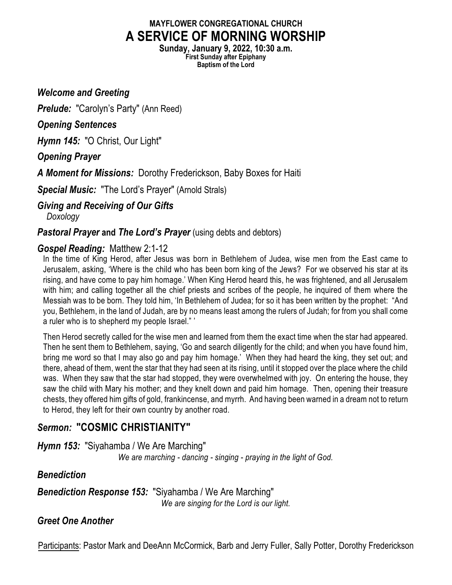# **MAYFLOWER CONGREGATIONAL CHURCH A SERVICE OF MORNING WORSHIP**

**Sunday, January 9, 2022, 10:30 a.m. First Sunday after Epiphany Baptism of the Lord**

#### *Welcome and Greeting*

*Prelude:* "Carolyn's Party" (Ann Reed)

*Opening Sentences*

*Hymn 145:* "O Christ, Our Light"

#### *Opening Prayer*

*A Moment for Missions:* Dorothy Frederickson, Baby Boxes for Haiti

*Special Music:* "The Lord's Prayer" (Arnold Strals)

*Giving and Receiving of Our Gifts Doxology*

*Pastoral Prayer and The Lord's Prayer* (using debts and debtors)

### *Gospel Reading:* Matthew 2:1-12

In the time of King Herod, after Jesus was born in Bethlehem of Judea, wise men from the East came to Jerusalem, asking, 'Where is the child who has been born king of the Jews? For we observed his star at its rising, and have come to pay him homage.' When King Herod heard this, he was frightened, and all Jerusalem with him; and calling together all the chief priests and scribes of the people, he inquired of them where the Messiah was to be born. They told him, 'In Bethlehem of Judea; for so it has been written by the prophet: "And you, Bethlehem, in the land of Judah, are by no means least among the rulers of Judah; for from you shall come a ruler who is to shepherd my people Israel." '

Then Herod secretly called for the wise men and learned from them the exact time when the star had appeared. Then he sent them to Bethlehem, saying, 'Go and search diligently for the child; and when you have found him, bring me word so that I may also go and pay him homage.' When they had heard the king, they set out; and there, ahead of them, went the star that they had seen at its rising, until it stopped over the place where the child was. When they saw that the star had stopped, they were overwhelmed with joy. On entering the house, they saw the child with Mary his mother; and they knelt down and paid him homage. Then, opening their treasure chests, they offered him gifts of gold, frankincense, and myrrh. And having been warned in a dream not to return to Herod, they left for their own country by another road.

# *Sermon:* **"COSMIC CHRISTIANITY"**

*Hymn 153:* "Siyahamba / We Are Marching"

*We are marching - dancing - singing - praying in the light of God.*

### *Benediction*

*Benediction Response 153:* "Siyahamba / We Are Marching" *We are singing for the Lord is our light.*

### *Greet One Another*

Participants: Pastor Mark and DeeAnn McCormick, Barb and Jerry Fuller, Sally Potter, Dorothy Frederickson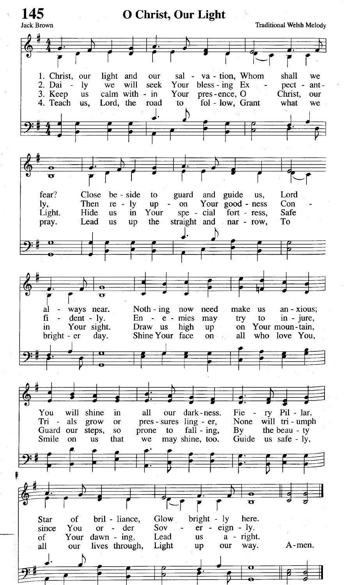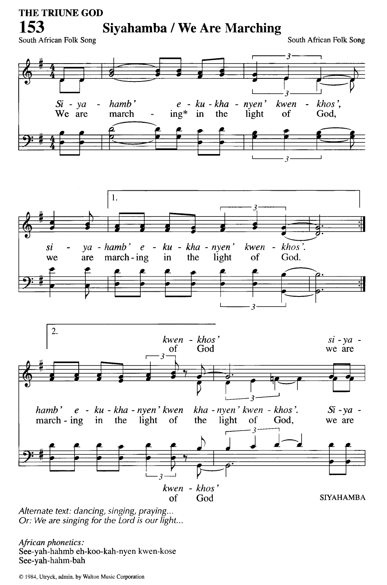## THE TRIUNE GOD Siyahamba / We Are Marching

South African Folk Song

153

South African Folk Song





Alternate text: dancing, singing, praying... Or: We are singing for the Lord is our light...

African phonetics: See-yah-hahmb eh-koo-kah-nyen kwen-kose See-yah-hahm-bah

© 1984, Utryck, admin. by Walton Music Corporation